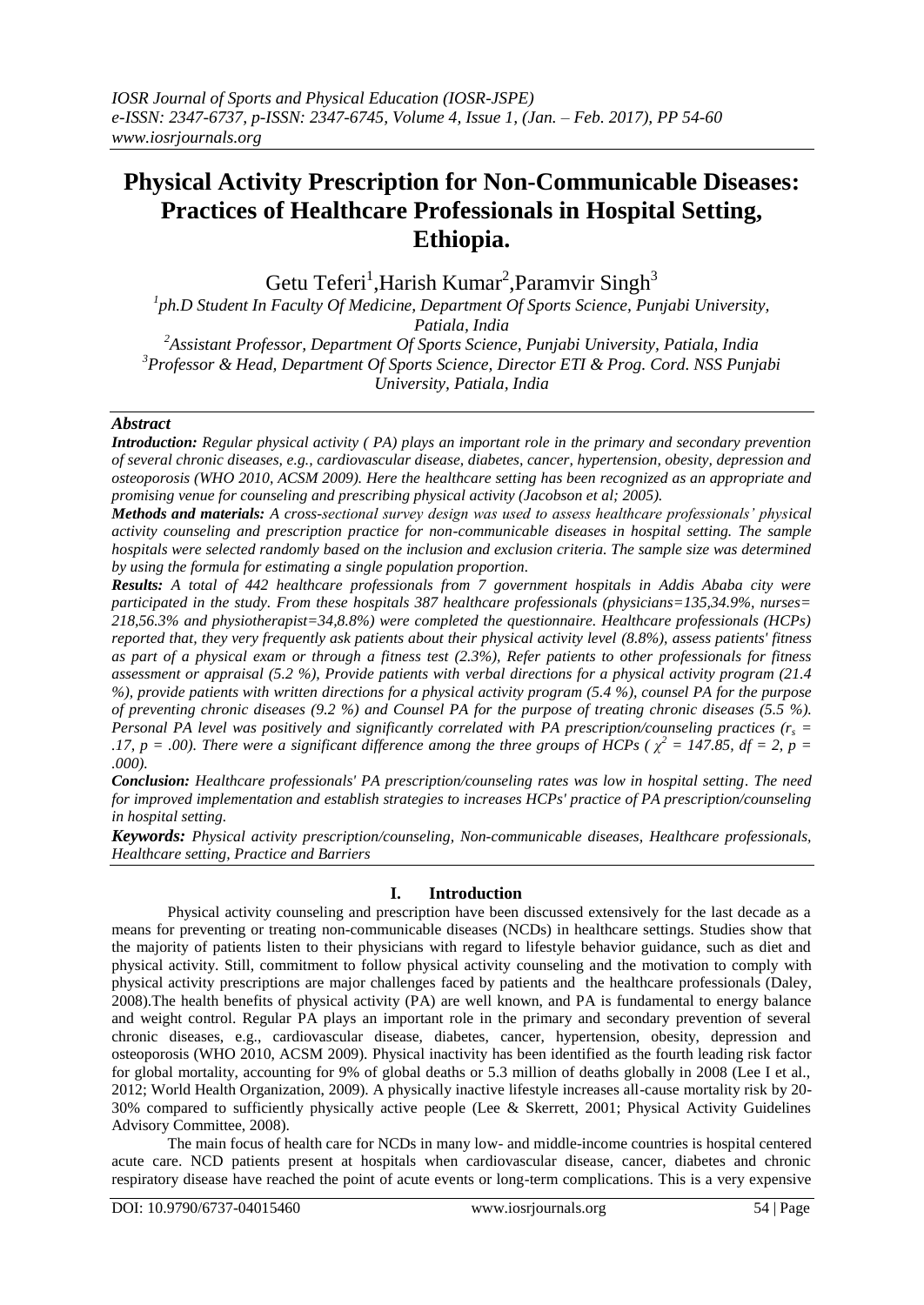# **Physical Activity Prescription for Non-Communicable Diseases: Practices of Healthcare Professionals in Hospital Setting, Ethiopia.**

Getu Teferi<sup>1</sup>, Harish Kumar<sup>2</sup>, Paramvir Singh<sup>3</sup>

<sup>1</sup>ph.D Student In Faculty Of Medicine, Department Of Sports Science, Punjabi University, *Patiala, India <sup>2</sup>Assistant Professor, Department Of Sports Science, Punjabi University, Patiala, India <sup>3</sup>Professor & Head, Department Of Sports Science, Director ETI & Prog. Cord. NSS Punjabi University, Patiala, India*

## *Abstract*

*Introduction: Regular physical activity ( PA) plays an important role in the primary and secondary prevention of several chronic diseases, e.g., cardiovascular disease, diabetes, cancer, hypertension, obesity, depression and osteoporosis (WHO 2010, ACSM 2009). Here the healthcare setting has been recognized as an appropriate and promising venue for counseling and prescribing physical activity (Jacobson et al; 2005).* 

*Methods and materials: A cross-sectional survey design was used to assess healthcare professionals' physical activity counseling and prescription practice for non-communicable diseases in hospital setting. The sample hospitals were selected randomly based on the inclusion and exclusion criteria. The sample size was determined by using the formula for estimating a single population proportion.* 

*Results: A total of 442 healthcare professionals from 7 government hospitals in Addis Ababa city were participated in the study. From these hospitals 387 healthcare professionals (physicians=135,34.9%, nurses= 218,56.3% and physiotherapist=34,8.8%) were completed the questionnaire. Healthcare professionals (HCPs) reported that, they very frequently ask patients about their physical activity level (8.8%), assess patients' fitness as part of a physical exam or through a fitness test (2.3%), Refer patients to other professionals for fitness assessment or appraisal (5.2 %), Provide patients with verbal directions for a physical activity program (21.4 %), provide patients with written directions for a physical activity program (5.4 %), counsel PA for the purpose of preventing chronic diseases (9.2 %) and Counsel PA for the purpose of treating chronic diseases (5.5 %). Personal PA level was positively and significantly correlated with PA prescription/counseling practices (r<sup>s</sup> = .17, p* = .00). There were a significant difference among the three groups of HCPs ( $\chi^2$  = 147.85, df = 2, p = *.000).*

*Conclusion: Healthcare professionals' PA prescription/counseling rates was low in hospital setting. The need for improved implementation and establish strategies to increases HCPs' practice of PA prescription/counseling in hospital setting.*

*Keywords: Physical activity prescription/counseling, Non-communicable diseases, Healthcare professionals, Healthcare setting, Practice and Barriers*

## **I. Introduction**

Physical activity counseling and prescription have been discussed extensively for the last decade as a means for preventing or treating non-communicable diseases (NCDs) in healthcare settings. Studies show that the majority of patients listen to their physicians with regard to lifestyle behavior guidance, such as diet and physical activity. Still, commitment to follow physical activity counseling and the motivation to comply with physical activity prescriptions are major challenges faced by patients and the healthcare professionals (Daley, 2008).The health benefits of physical activity (PA) are well known, and PA is fundamental to energy balance and weight control. Regular PA plays an important role in the primary and secondary prevention of several chronic diseases, e.g., cardiovascular disease, diabetes, cancer, hypertension, obesity, depression and osteoporosis (WHO 2010, ACSM 2009). Physical inactivity has been identified as the fourth leading risk factor for global mortality, accounting for 9% of global deaths or 5.3 million of deaths globally in 2008 (Lee I et al., 2012; World Health Organization, 2009). A physically inactive lifestyle increases all-cause mortality risk by 20- 30% compared to sufficiently physically active people (Lee & Skerrett, 2001; Physical Activity Guidelines Advisory Committee, 2008).

The main focus of health care for NCDs in many low- and middle-income countries is hospital centered acute care. NCD patients present at hospitals when cardiovascular disease, cancer, diabetes and chronic respiratory disease have reached the point of acute events or long-term complications. This is a very expensive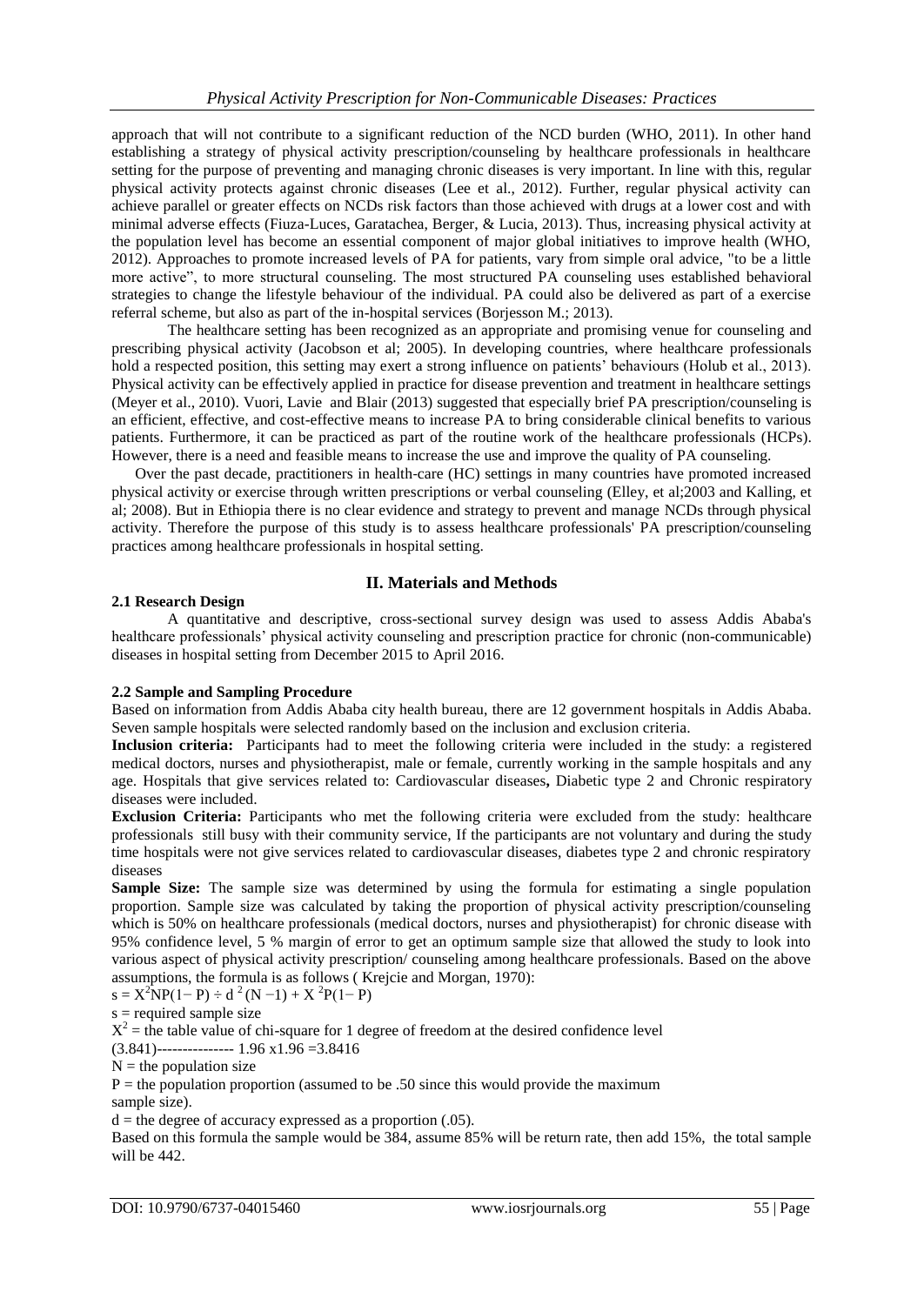approach that will not contribute to a significant reduction of the NCD burden (WHO, 2011). In other hand establishing a strategy of physical activity prescription/counseling by healthcare professionals in healthcare setting for the purpose of preventing and managing chronic diseases is very important. In line with this, regular physical activity protects against chronic diseases (Lee et al., 2012). Further, regular physical activity can achieve parallel or greater effects on NCDs risk factors than those achieved with drugs at a lower cost and with minimal adverse effects (Fiuza-Luces, Garatachea, Berger, & Lucia, 2013). Thus, increasing physical activity at the population level has become an essential component of major global initiatives to improve health (WHO, 2012). Approaches to promote increased levels of PA for patients, vary from simple oral advice, "to be a little more active", to more structural counseling. The most structured PA counseling uses established behavioral strategies to change the lifestyle behaviour of the individual. PA could also be delivered as part of a exercise referral scheme, but also as part of the in-hospital services (Borjesson M.; 2013).

The healthcare setting has been recognized as an appropriate and promising venue for counseling and prescribing physical activity (Jacobson et al; 2005). In developing countries, where healthcare professionals hold a respected position, this setting may exert a strong influence on patients' behaviours (Holub et al., 2013). Physical activity can be effectively applied in practice for disease prevention and treatment in healthcare settings (Meyer et al., 2010). Vuori, Lavie and Blair (2013) suggested that especially brief PA prescription/counseling is an efficient, effective, and cost-effective means to increase PA to bring considerable clinical benefits to various patients. Furthermore, it can be practiced as part of the routine work of the healthcare professionals (HCPs). However, there is a need and feasible means to increase the use and improve the quality of PA counseling.

Over the past decade, practitioners in health-care (HC) settings in many countries have promoted increased physical activity or exercise through written prescriptions or verbal counseling (Elley, et al;2003 and Kalling, et al; 2008). But in Ethiopia there is no clear evidence and strategy to prevent and manage NCDs through physical activity. Therefore the purpose of this study is to assess healthcare professionals' PA prescription/counseling practices among healthcare professionals in hospital setting.

## **II. Materials and Methods**

## **2.1 Research Design**

A quantitative and descriptive, cross-sectional survey design was used to assess Addis Ababa's healthcare professionals' physical activity counseling and prescription practice for chronic (non-communicable) diseases in hospital setting from December 2015 to April 2016.

## **2.2 Sample and Sampling Procedure**

Based on information from Addis Ababa city health bureau, there are 12 government hospitals in Addis Ababa. Seven sample hospitals were selected randomly based on the inclusion and exclusion criteria.

**Inclusion criteria:** Participants had to meet the following criteria were included in the study: a registered medical doctors, nurses and physiotherapist, male or female, currently working in the sample hospitals and any age. Hospitals that give services related to: Cardiovascular diseases**,** Diabetic type 2 and Chronic respiratory diseases were included.

**Exclusion Criteria:** Participants who met the following criteria were excluded from the study: healthcare professionals still busy with their community service, If the participants are not voluntary and during the study time hospitals were not give services related to cardiovascular diseases, diabetes type 2 and chronic respiratory diseases

**Sample Size:** The sample size was determined by using the formula for estimating a single population proportion. Sample size was calculated by taking the proportion of physical activity prescription/counseling which is 50% on healthcare professionals (medical doctors, nurses and physiotherapist) for chronic disease with 95% confidence level, 5 % margin of error to get an optimum sample size that allowed the study to look into various aspect of physical activity prescription/ counseling among healthcare professionals. Based on the above assumptions, the formula is as follows ( Krejcie and Morgan, 1970):

 $s = X^2 NP(1-P) \div d^2(N-1) + X^2 P(1-P)$ 

 $s =$  required sample size

 $X^2$  = the table value of chi-square for 1 degree of freedom at the desired confidence level

 $(3.841)$ --------------- 1.96 x1.96 = 3.8416

 $N =$  the population size

 $P =$  the population proportion (assumed to be .50 since this would provide the maximum

sample size).

 $d =$  the degree of accuracy expressed as a proportion  $(.05)$ .

Based on this formula the sample would be 384, assume 85% will be return rate, then add 15%, the total sample will be 442.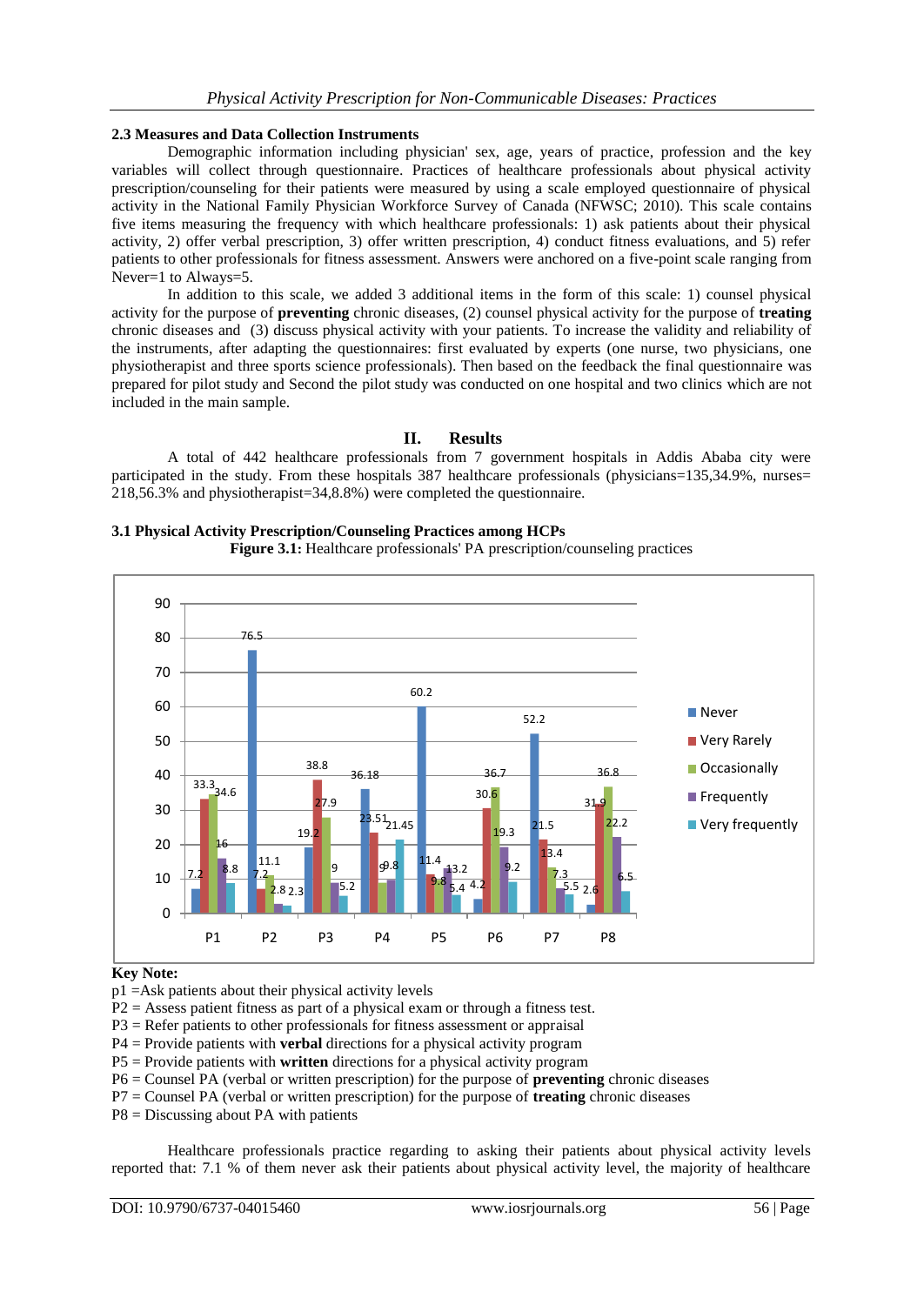#### **2.3 Measures and Data Collection Instruments**

Demographic information including physician' sex, age, years of practice, profession and the key variables will collect through questionnaire. Practices of healthcare professionals about physical activity prescription/counseling for their patients were measured by using a scale employed questionnaire of physical activity in the National Family Physician Workforce Survey of Canada (NFWSC; 2010). This scale contains five items measuring the frequency with which healthcare professionals: 1) ask patients about their physical activity, 2) offer verbal prescription, 3) offer written prescription, 4) conduct fitness evaluations, and 5) refer patients to other professionals for fitness assessment. Answers were anchored on a five-point scale ranging from Never=1 to Always=5.

In addition to this scale, we added 3 additional items in the form of this scale: 1) counsel physical activity for the purpose of **preventing** chronic diseases, (2) counsel physical activity for the purpose of **treating**  chronic diseases and (3) discuss physical activity with your patients. To increase the validity and reliability of the instruments, after adapting the questionnaires: first evaluated by experts (one nurse, two physicians, one physiotherapist and three sports science professionals). Then based on the feedback the final questionnaire was prepared for pilot study and Second the pilot study was conducted on one hospital and two clinics which are not included in the main sample.

## **II. Results**

A total of 442 healthcare professionals from 7 government hospitals in Addis Ababa city were participated in the study. From these hospitals 387 healthcare professionals (physicians=135,34.9%, nurses= 218,56.3% and physiotherapist=34,8.8%) were completed the questionnaire.

#### **3.1 Physical Activity Prescription/Counseling Practices among HCPs**





#### **Key Note:**

p1 =Ask patients about their physical activity levels

P2 = Assess patient fitness as part of a physical exam or through a fitness test.

P3 = Refer patients to other professionals for fitness assessment or appraisal

P4 = Provide patients with **verbal** directions for a physical activity program

P5 = Provide patients with **written** directions for a physical activity program

P6 = Counsel PA (verbal or written prescription) for the purpose of **preventing** chronic diseases

P7 = Counsel PA (verbal or written prescription) for the purpose of **treating** chronic diseases

P8 = Discussing about PA with patients

Healthcare professionals practice regarding to asking their patients about physical activity levels reported that: 7.1 % of them never ask their patients about physical activity level, the majority of healthcare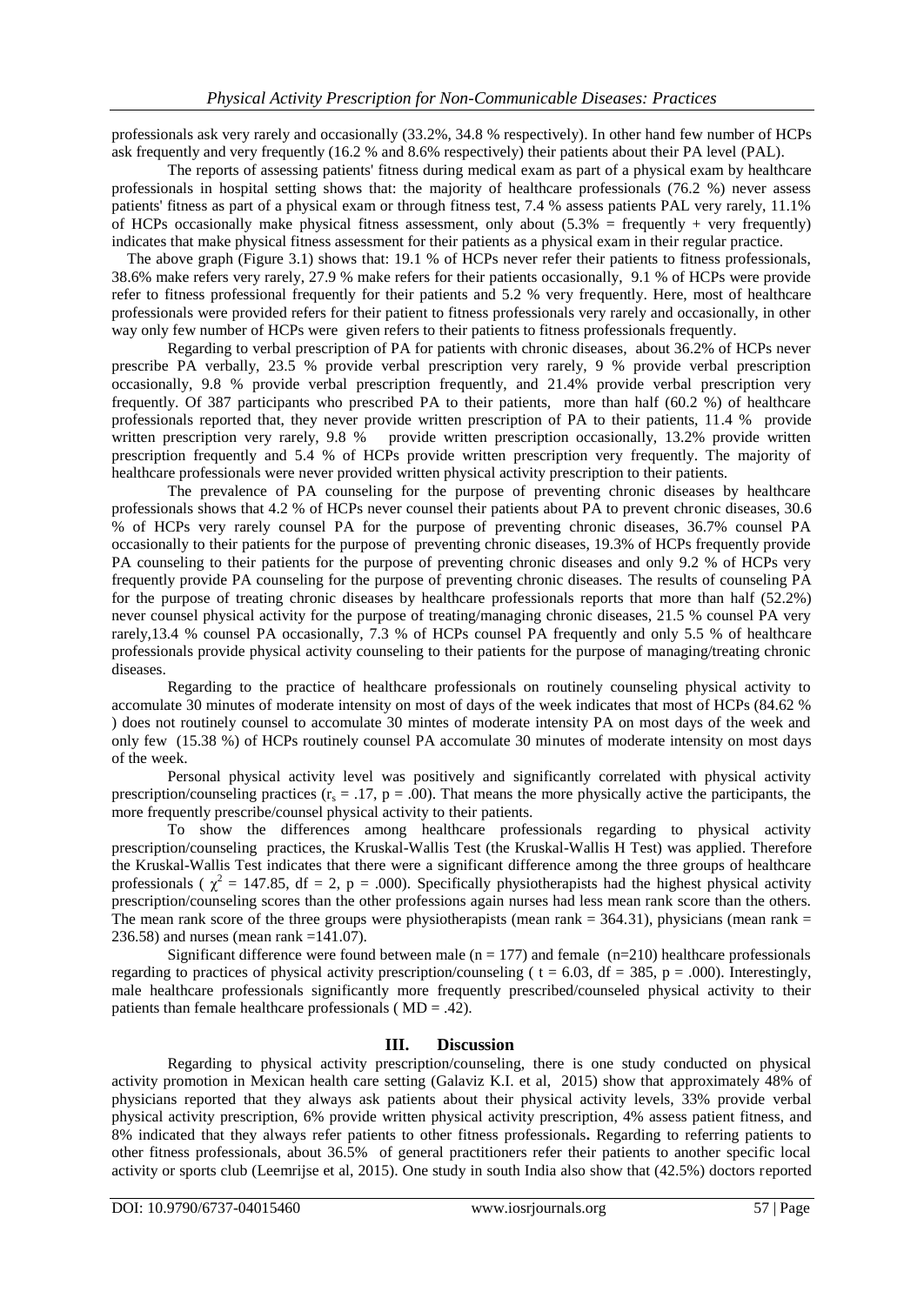professionals ask very rarely and occasionally (33.2%, 34.8 % respectively). In other hand few number of HCPs ask frequently and very frequently (16.2 % and 8.6% respectively) their patients about their PA level (PAL).

The reports of assessing patients' fitness during medical exam as part of a physical exam by healthcare professionals in hospital setting shows that: the majority of healthcare professionals (76.2 %) never assess patients' fitness as part of a physical exam or through fitness test, 7.4 % assess patients PAL very rarely, 11.1% of HCPs occasionally make physical fitness assessment, only about  $(5.3\% = \text{frequently} + \text{very frequently})$ indicates that make physical fitness assessment for their patients as a physical exam in their regular practice.

 The above graph (Figure 3.1) shows that: 19.1 % of HCPs never refer their patients to fitness professionals, 38.6% make refers very rarely, 27.9 % make refers for their patients occasionally, 9.1 % of HCPs were provide refer to fitness professional frequently for their patients and 5.2 % very frequently. Here, most of healthcare professionals were provided refers for their patient to fitness professionals very rarely and occasionally, in other way only few number of HCPs were given refers to their patients to fitness professionals frequently.

Regarding to verbal prescription of PA for patients with chronic diseases, about 36.2% of HCPs never prescribe PA verbally, 23.5 % provide verbal prescription very rarely, 9 % provide verbal prescription occasionally, 9.8 % provide verbal prescription frequently, and 21.4% provide verbal prescription very frequently. Of 387 participants who prescribed PA to their patients, more than half (60.2 %) of healthcare professionals reported that, they never provide written prescription of PA to their patients, 11.4 % provide written prescription very rarely, 9.8 % provide written prescription occasionally, 13.2% provide written provide written prescription occasionally, 13.2% provide written prescription frequently and 5.4 % of HCPs provide written prescription very frequently. The majority of healthcare professionals were never provided written physical activity prescription to their patients.

The prevalence of PA counseling for the purpose of preventing chronic diseases by healthcare professionals shows that 4.2 % of HCPs never counsel their patients about PA to prevent chronic diseases, 30.6 % of HCPs very rarely counsel PA for the purpose of preventing chronic diseases, 36.7% counsel PA occasionally to their patients for the purpose of preventing chronic diseases, 19.3% of HCPs frequently provide PA counseling to their patients for the purpose of preventing chronic diseases and only 9.2 % of HCPs very frequently provide PA counseling for the purpose of preventing chronic diseases. The results of counseling PA for the purpose of treating chronic diseases by healthcare professionals reports that more than half (52.2%) never counsel physical activity for the purpose of treating/managing chronic diseases, 21.5 % counsel PA very rarely,13.4 % counsel PA occasionally, 7.3 % of HCPs counsel PA frequently and only 5.5 % of healthcare professionals provide physical activity counseling to their patients for the purpose of managing/treating chronic diseases.

Regarding to the practice of healthcare professionals on routinely counseling physical activity to accomulate 30 minutes of moderate intensity on most of days of the week indicates that most of HCPs (84.62 % ) does not routinely counsel to accomulate 30 mintes of moderate intensity PA on most days of the week and only few (15.38 %) of HCPs routinely counsel PA accomulate 30 minutes of moderate intensity on most days of the week.

Personal physical activity level was positively and significantly correlated with physical activity prescription/counseling practices  $(r_s = .17, p = .00)$ . That means the more physically active the participants, the more frequently prescribe/counsel physical activity to their patients.

To show the differences among healthcare professionals regarding to physical activity prescription/counseling practices, the Kruskal-Wallis Test (the Kruskal-Wallis H Test) was applied. Therefore the Kruskal-Wallis Test indicates that there were a significant difference among the three groups of healthcare professionals ( $\chi^2 = 147.85$ , df = 2, p = .000). Specifically physiotherapists had the highest physical activity prescription/counseling scores than the other professions again nurses had less mean rank score than the others. The mean rank score of the three groups were physiotherapists (mean rank  $=$  364.31), physicians (mean rank  $=$ 236.58) and nurses (mean rank =141.07).

Significant difference were found between male  $(n = 177)$  and female  $(n=210)$  healthcare professionals regarding to practices of physical activity prescription/counseling ( $t = 6.03$ , df = 385, p = .000). Interestingly, male healthcare professionals significantly more frequently prescribed/counseled physical activity to their patients than female healthcare professionals ( MD = .42).

## **III. Discussion**

Regarding to physical activity prescription/counseling, there is one study conducted on physical activity promotion in Mexican health care setting (Galaviz K.I. et al, 2015) show that approximately 48% of physicians reported that they always ask patients about their physical activity levels, 33% provide verbal physical activity prescription, 6% provide written physical activity prescription, 4% assess patient fitness, and 8% indicated that they always refer patients to other fitness professionals**.** Regarding to referring patients to other fitness professionals, about 36.5% of general practitioners refer their patients to another specific local activity or sports club (Leemrijse et al, 2015). One study in south India also show that (42.5%) doctors reported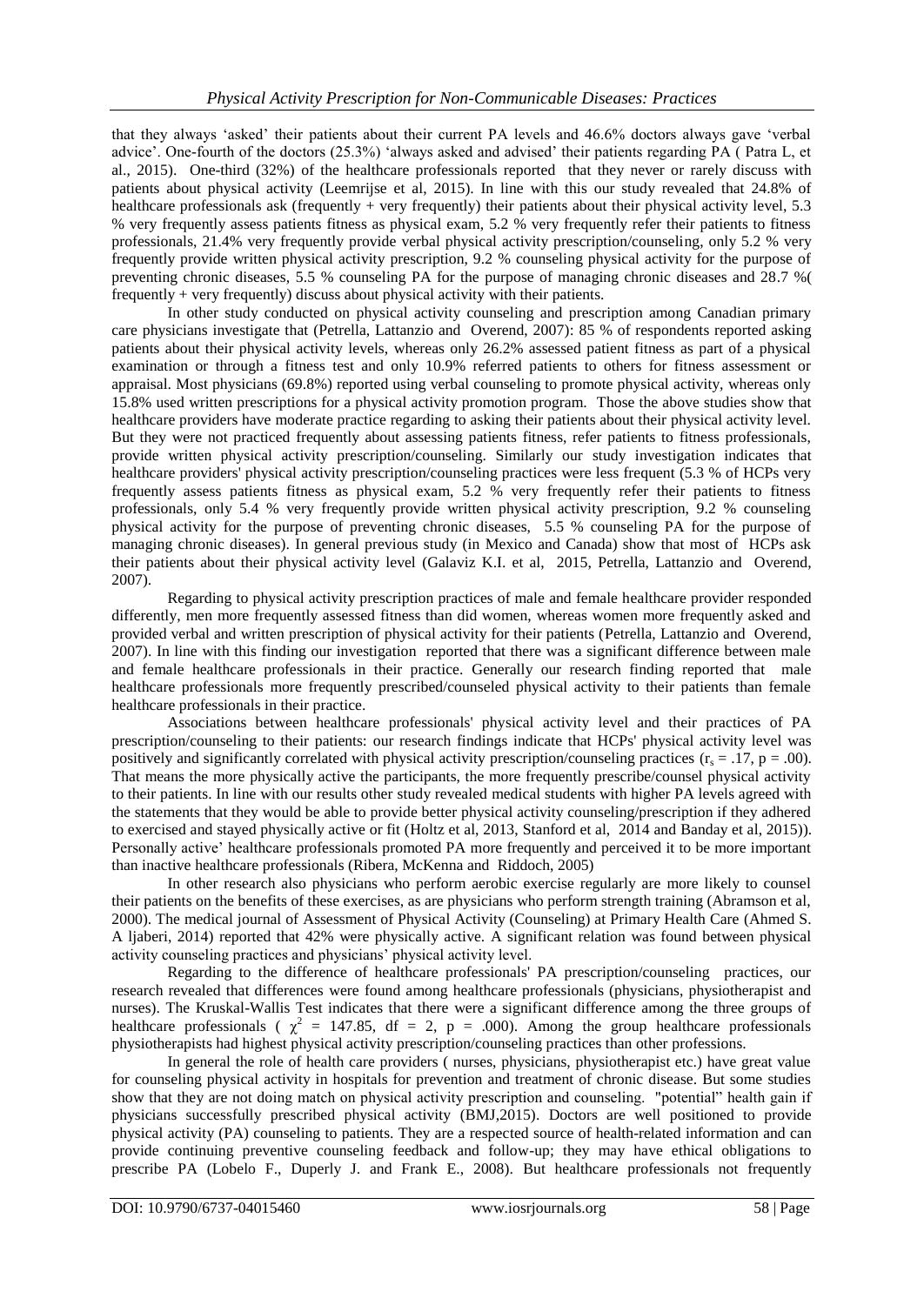that they always 'asked' their patients about their current PA levels and 46.6% doctors always gave 'verbal advice'. One-fourth of the doctors (25.3%) 'always asked and advised' their patients regarding PA ( Patra L, et al., 2015). One-third (32%) of the healthcare professionals reported that they never or rarely discuss with patients about physical activity (Leemrijse et al, 2015). In line with this our study revealed that 24.8% of healthcare professionals ask (frequently + very frequently) their patients about their physical activity level, 5.3 % very frequently assess patients fitness as physical exam, 5.2 % very frequently refer their patients to fitness professionals, 21.4% very frequently provide verbal physical activity prescription/counseling, only 5.2 % very frequently provide written physical activity prescription, 9.2 % counseling physical activity for the purpose of preventing chronic diseases, 5.5 % counseling PA for the purpose of managing chronic diseases and 28.7 %( frequently + very frequently) discuss about physical activity with their patients.

In other study conducted on physical activity counseling and prescription among Canadian primary care physicians investigate that (Petrella, Lattanzio and Overend, 2007): 85 % of respondents reported asking patients about their physical activity levels, whereas only 26.2% assessed patient fitness as part of a physical examination or through a fitness test and only 10.9% referred patients to others for fitness assessment or appraisal. Most physicians (69.8%) reported using verbal counseling to promote physical activity, whereas only 15.8% used written prescriptions for a physical activity promotion program. Those the above studies show that healthcare providers have moderate practice regarding to asking their patients about their physical activity level. But they were not practiced frequently about assessing patients fitness, refer patients to fitness professionals, provide written physical activity prescription/counseling. Similarly our study investigation indicates that healthcare providers' physical activity prescription/counseling practices were less frequent (5.3 % of HCPs very frequently assess patients fitness as physical exam, 5.2 % very frequently refer their patients to fitness professionals, only 5.4 % very frequently provide written physical activity prescription, 9.2 % counseling physical activity for the purpose of preventing chronic diseases, 5.5 % counseling PA for the purpose of managing chronic diseases). In general previous study (in Mexico and Canada) show that most of HCPs ask their patients about their physical activity level (Galaviz K.I. et al, 2015, Petrella, Lattanzio and Overend, 2007).

Regarding to physical activity prescription practices of male and female healthcare provider responded differently, men more frequently assessed fitness than did women, whereas women more frequently asked and provided verbal and written prescription of physical activity for their patients (Petrella, Lattanzio and Overend, 2007). In line with this finding our investigation reported that there was a significant difference between male and female healthcare professionals in their practice. Generally our research finding reported that male healthcare professionals more frequently prescribed/counseled physical activity to their patients than female healthcare professionals in their practice.

Associations between healthcare professionals' physical activity level and their practices of PA prescription/counseling to their patients: our research findings indicate that HCPs' physical activity level was positively and significantly correlated with physical activity prescription/counseling practices ( $r_s = .17$ ,  $p = .00$ ). That means the more physically active the participants, the more frequently prescribe/counsel physical activity to their patients. In line with our results other study revealed medical students with higher PA levels agreed with the statements that they would be able to provide better physical activity counseling/prescription if they adhered to exercised and stayed physically active or fit (Holtz et al, 2013, Stanford et al, 2014 and Banday et al, 2015)). Personally active' healthcare professionals promoted PA more frequently and perceived it to be more important than inactive healthcare professionals (Ribera, McKenna and Riddoch, 2005)

In other research also physicians who perform aerobic exercise regularly are more likely to counsel their patients on the benefits of these exercises, as are physicians who perform strength training (Abramson et al, 2000). The medical journal of Assessment of Physical Activity (Counseling) at Primary Health Care (Ahmed S. A ljaberi, 2014) reported that 42% were physically active. A significant relation was found between physical activity counseling practices and physicians' physical activity level.

Regarding to the difference of healthcare professionals' PA prescription/counseling practices, our research revealed that differences were found among healthcare professionals (physicians, physiotherapist and nurses). The Kruskal-Wallis Test indicates that there were a significant difference among the three groups of healthcare professionals ( $\chi^2$  = 147.85, df = 2, p = .000). Among the group healthcare professionals physiotherapists had highest physical activity prescription/counseling practices than other professions.

In general the role of health care providers ( nurses, physicians, physiotherapist etc.) have great value for counseling physical activity in hospitals for prevention and treatment of chronic disease. But some studies show that they are not doing match on physical activity prescription and counseling. "potential" health gain if physicians successfully prescribed physical activity (BMJ,2015). Doctors are well positioned to provide physical activity (PA) counseling to patients. They are a respected source of health-related information and can provide continuing preventive counseling feedback and follow-up; they may have ethical obligations to prescribe PA (Lobelo F., Duperly J. and Frank E., 2008). But healthcare professionals not frequently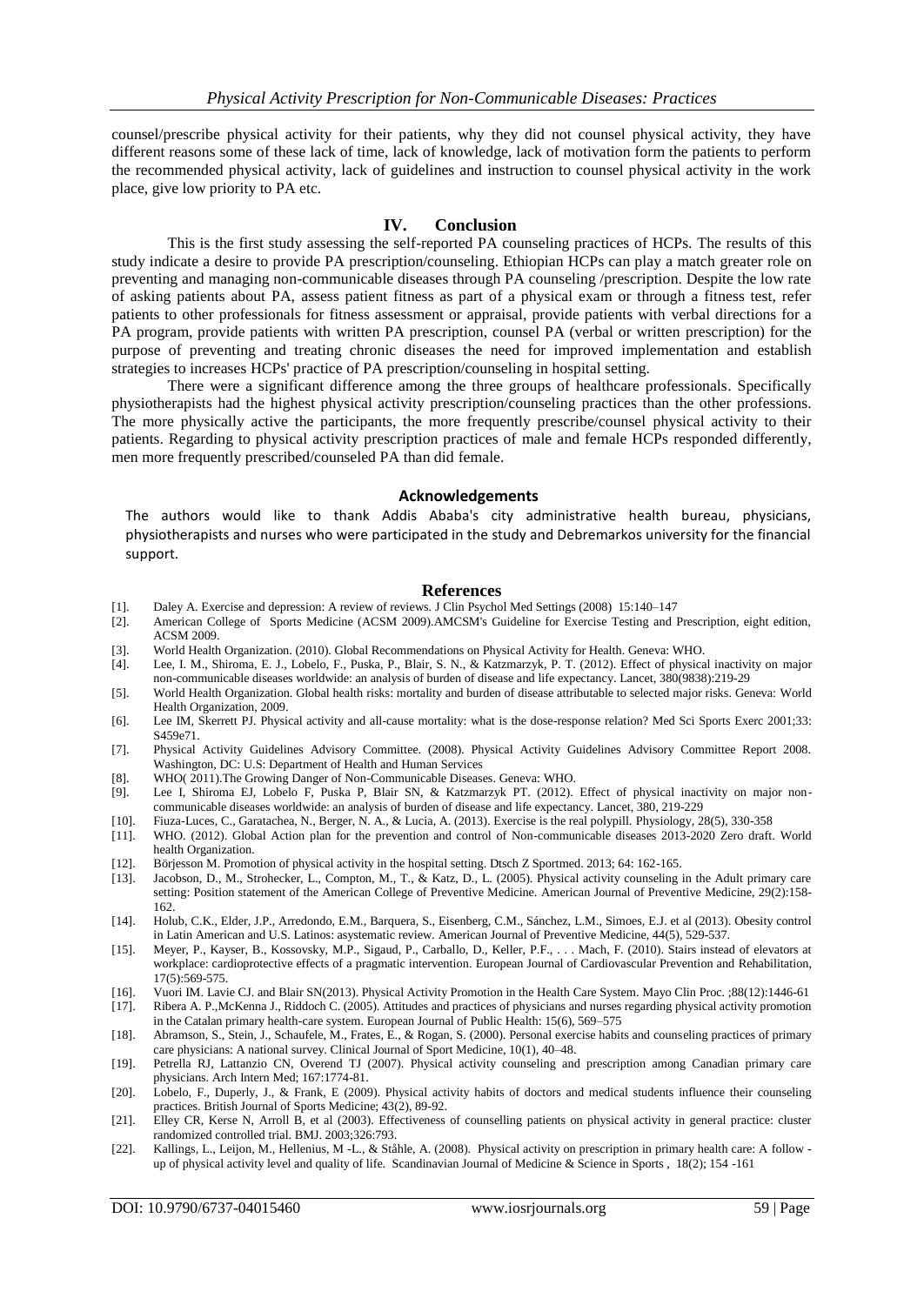counsel/prescribe physical activity for their patients, why they did not counsel physical activity, they have different reasons some of these lack of time, lack of knowledge, lack of motivation form the patients to perform the recommended physical activity, lack of guidelines and instruction to counsel physical activity in the work place, give low priority to PA etc.

#### **IV. Conclusion**

This is the first study assessing the self-reported PA counseling practices of HCPs. The results of this study indicate a desire to provide PA prescription/counseling. Ethiopian HCPs can play a match greater role on preventing and managing non-communicable diseases through PA counseling /prescription. Despite the low rate of asking patients about PA, assess patient fitness as part of a physical exam or through a fitness test, refer patients to other professionals for fitness assessment or appraisal, provide patients with verbal directions for a PA program, provide patients with written PA prescription, counsel PA (verbal or written prescription) for the purpose of preventing and treating chronic diseases the need for improved implementation and establish strategies to increases HCPs' practice of PA prescription/counseling in hospital setting.

There were a significant difference among the three groups of healthcare professionals. Specifically physiotherapists had the highest physical activity prescription/counseling practices than the other professions. The more physically active the participants, the more frequently prescribe/counsel physical activity to their patients. Regarding to physical activity prescription practices of male and female HCPs responded differently, men more frequently prescribed/counseled PA than did female.

#### **Acknowledgements**

The authors would like to thank Addis Ababa's city administrative health bureau, physicians, physiotherapists and nurses who were participated in the study and Debremarkos university for the financial support.

#### **References**

- [1]. Daley A. Exercise and depression: A review of reviews. J Clin Psychol Med Settings (2008) 15:140–147
- American College of Sports Medicine (ACSM 2009).AMCSM's Guideline for Exercise Testing and Prescription, eight edition, ACSM 2009.
- [3]. World Health Organization. (2010). Global Recommendations on Physical Activity for Health. Geneva: WHO.
- [4]. Lee, I. M., Shiroma, E. J., Lobelo, F., Puska, P., Blair, S. N., & Katzmarzyk, P. T. (2012). Effect of physical inactivity on major non-communicable diseases worldwide: an analysis of burden of disease and life expectancy. Lancet, 380(9838):219-29
- [5]. World Health Organization. Global health risks: mortality and burden of disease attributable to selected major risks. Geneva: World Health Organization, 2009.
- [6]. Lee IM, Skerrett PJ. Physical activity and all-cause mortality: what is the dose-response relation? Med Sci Sports Exerc 2001;33: S459e71.
- [7]. Physical Activity Guidelines Advisory Committee. (2008). Physical Activity Guidelines Advisory Committee Report 2008. Washington, DC: U.S: Department of Health and Human Services
- [8]. WHO( 2011).The Growing Danger of Non-Communicable Diseases. Geneva: WHO.
- [9]. Lee I, Shiroma EJ, Lobelo F, Puska P, Blair SN, & Katzmarzyk PT. (2012). Effect of physical inactivity on major noncommunicable diseases worldwide: an analysis of burden of disease and life expectancy. Lancet, 380, 219-229
- [10]. Fiuza-Luces, C., Garatachea, N., Berger, N. A., & Lucia, A. (2013). Exercise is the real polypill. Physiology, 28(5), 330-358
- [11]. WHO. (2012). Global Action plan for the prevention and control of Non-communicable diseases 2013-2020 Zero draft. World health Organization.
- [12]. Börjesson M. Promotion of physical activity in the hospital setting. Dtsch Z Sportmed. 2013; 64: 162-165.
- [13]. Jacobson, D., M., Strohecker, L., Compton, M., T., & Katz, D., L. (2005). Physical activity counseling in the Adult primary care setting: Position statement of the American College of Preventive Medicine. American Journal of Preventive Medicine, 29(2):158- 162.
- [14]. Holub, C.K., Elder, J.P., Arredondo, E.M., Barquera, S., Eisenberg, C.M., Sánchez, L.M., Simoes, E.J. et al (2013). Obesity control in Latin American and U.S. Latinos: asystematic review. American Journal of Preventive Medicine, 44(5), 529-537.
- [15]. Meyer, P., Kayser, B., Kossovsky, M.P., Sigaud, P., Carballo, D., Keller, P.F., . . . Mach, F. (2010). Stairs instead of elevators at workplace: cardioprotective effects of a pragmatic intervention. European Journal of Cardiovascular Prevention and Rehabilitation, 17(5):569-575.
- [16]. Vuori IM. Lavie CJ. and Blair SN(2013). Physical Activity Promotion in the Health Care System. [Mayo Clin Proc.](https://www.ncbi.nlm.nih.gov/pubmed/24290119) ;88(12):1446-61
- [17]. Ribera A. P.,McKenna J., Riddoch C. (2005). Attitudes and practices of physicians and nurses regarding physical activity promotion in the Catalan primary health-care system. European Journal of Public Health: 15(6), 569–575
- [18]. Abramson, S., Stein, J., Schaufele, M., Frates, E., & Rogan, S. (2000). Personal exercise habits and counseling practices of primary care physicians: A national survey. Clinical Journal of Sport Medicine, 10(1), 40–48.
- [19]. Petrella RJ, Lattanzio CN, Overend TJ (2007). Physical activity counseling and prescription among Canadian primary care physicians. Arch Intern Med; 167:1774-81.
- [20]. Lobelo, F., Duperly, J., & Frank, E (2009). Physical activity habits of doctors and medical students influence their counseling practices. British Journal of Sports Medicine; 43(2), 89-92.
- [21]. Elley CR, Kerse N, Arroll B, et al (2003). Effectiveness of counselling patients on physical activity in general practice: cluster randomized controlled trial. BMJ. 2003;326:793.
- [22]. Kallings, L., Leijon, M., Hellenius, M -L., & Ståhle, A. (2008). Physical activity on prescription in primary health care: A follow up of physical activity level and quality of life. Scandinavian Journal of Medicine & Science in Sports , 18(2); 154 -161